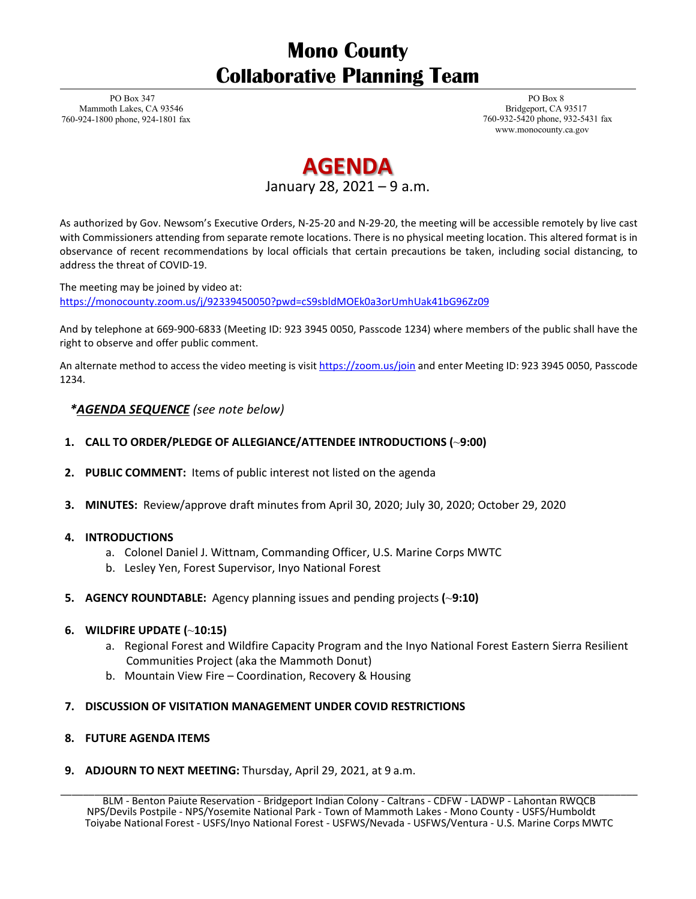# **Mono County Collaborative Planning Team**

PO Box 347 Mammoth Lakes, CA 93546 760-924-1800 phone, 924-1801 fax

PO Box 8 Bridgeport, CA 93517 760-932-5420 phone, 932-5431 fax [www.monocounty.ca.gov](http://www.monocounty.ca.gov/)

# **AGENDA** January 28, 2021 – 9 a.m.

As authorized by Gov. Newsom's Executive Orders, N-25-20 and N-29-20, the meeting will be accessible remotely by live cast with Commissioners attending from separate remote locations. There is no physical meeting location. This altered format is in observance of recent recommendations by local officials that certain precautions be taken, including social distancing, to address the threat of COVID-19.

The meeting may be joined by video at: <https://monocounty.zoom.us/j/92339450050?pwd=cS9sbldMOEk0a3orUmhUak41bG96Zz09>

And by telephone at 669-900-6833 (Meeting ID: 923 3945 0050, Passcode 1234) where members of the public shall have the right to observe and offer public comment.

An alternate method to access the video meeting is visi[t https://zoom.us/join](https://zoom.us/join) and enter Meeting ID: 923 3945 0050, Passcode 1234.

## *\*AGENDA SEQUENCE (see note below)*

### **1. CALL TO ORDER/PLEDGE OF ALLEGIANCE/ATTENDEE INTRODUCTIONS (**~**9:00)**

- **2. PUBLIC COMMENT:** Items of public interest not listed on the agenda
- **3. MINUTES:** Review/approve draft minutes from April 30, 2020; July 30, 2020; October 29, 2020

#### **4. INTRODUCTIONS**

- a. Colonel Daniel J. Wittnam, Commanding Officer, U.S. Marine Corps MWTC
- b. Lesley Yen, Forest Supervisor, Inyo National Forest
- **5. AGENCY ROUNDTABLE:** Agency planning issues and pending projects **(**~**9:10)**

### **6. WILDFIRE UPDATE (**~**10:15)**

- a. Regional Forest and Wildfire Capacity Program and the Inyo National Forest Eastern Sierra Resilient Communities Project (aka the Mammoth Donut)
- b. Mountain View Fire Coordination, Recovery & Housing
- **7. DISCUSSION OF VISITATION MANAGEMENT UNDER COVID RESTRICTIONS**

#### **8. FUTURE AGENDA ITEMS**

**9. ADJOURN TO NEXT MEETING:** Thursday, April 29, 2021, at 9 a.m.